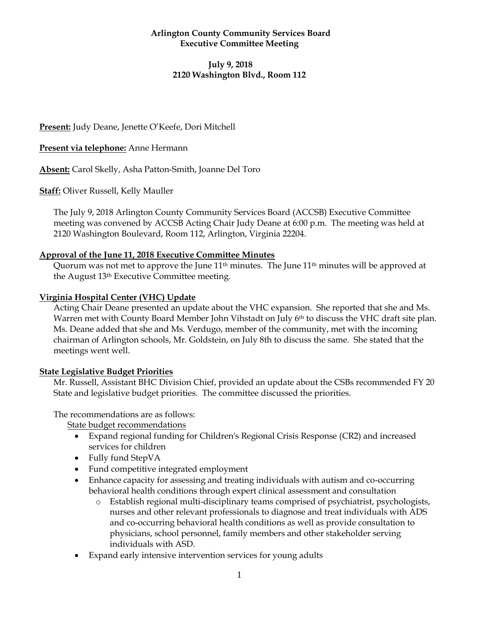#### **Arlington County Community Services Board Executive Committee Meeting**

### **July 9, 2018 2120 Washington Blvd., Room 112**

### **Present:** Judy Deane, Jenette O'Keefe, Dori Mitchell

#### **Present via telephone:** Anne Hermann

**Absent:** Carol Skelly, Asha Patton-Smith, Joanne Del Toro

#### **Staff:** Oliver Russell, Kelly Mauller

The July 9, 2018 Arlington County Community Services Board (ACCSB) Executive Committee meeting was convened by ACCSB Acting Chair Judy Deane at 6:00 p.m. The meeting was held at 2120 Washington Boulevard, Room 112, Arlington, Virginia 22204.

#### **Approval of the June 11, 2018 Executive Committee Minutes**

Quorum was not met to approve the June 11<sup>th</sup> minutes. The June 11<sup>th</sup> minutes will be approved at the August 13th Executive Committee meeting.

#### **Virginia Hospital Center (VHC) Update**

Acting Chair Deane presented an update about the VHC expansion. She reported that she and Ms. Warren met with County Board Member John Vihstadt on July 6th to discuss the VHC draft site plan. Ms. Deane added that she and Ms. Verdugo, member of the community, met with the incoming chairman of Arlington schools, Mr. Goldstein, on July 8th to discuss the same. She stated that the meetings went well.

#### **State Legislative Budget Priorities**

Mr. Russell, Assistant BHC Division Chief, provided an update about the CSBs recommended FY 20 State and legislative budget priorities. The committee discussed the priorities.

The recommendations are as follows:

State budget recommendations

- Expand regional funding for Children's Regional Crisis Response (CR2) and increased services for children
- Fully fund StepVA
- Fund competitive integrated employment
- Enhance capacity for assessing and treating individuals with autism and co-occurring behavioral health conditions through expert clinical assessment and consultation
	- o Establish regional multi-disciplinary teams comprised of psychiatrist, psychologists, nurses and other relevant professionals to diagnose and treat individuals with ADS and co-occurring behavioral health conditions as well as provide consultation to physicians, school personnel, family members and other stakeholder serving individuals with ASD.
- Expand early intensive intervention services for young adults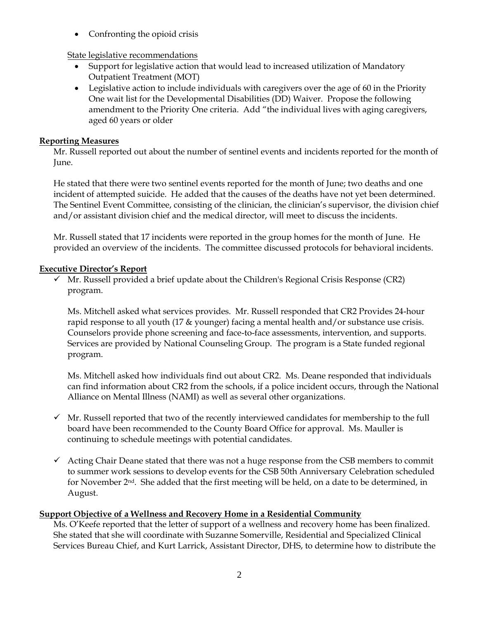• Confronting the opioid crisis

State legislative recommendations

- Support for legislative action that would lead to increased utilization of Mandatory Outpatient Treatment (MOT)
- Legislative action to include individuals with caregivers over the age of 60 in the Priority One wait list for the Developmental Disabilities (DD) Waiver. Propose the following amendment to the Priority One criteria. Add "the individual lives with aging caregivers, aged 60 years or older

# **Reporting Measures**

Mr. Russell reported out about the number of sentinel events and incidents reported for the month of June.

He stated that there were two sentinel events reported for the month of June; two deaths and one incident of attempted suicide. He added that the causes of the deaths have not yet been determined. The Sentinel Event Committee, consisting of the clinician, the clinician's supervisor, the division chief and/or assistant division chief and the medical director, will meet to discuss the incidents.

Mr. Russell stated that 17 incidents were reported in the group homes for the month of June. He provided an overview of the incidents. The committee discussed protocols for behavioral incidents.

# **Executive Director's Report**

 $\checkmark$  Mr. Russell provided a brief update about the Children's Regional Crisis Response (CR2) program.

Ms. Mitchell asked what services provides. Mr. Russell responded that CR2 Provides 24-hour rapid response to all youth (17 & younger) facing a mental health and/or substance use crisis. Counselors provide phone screening and face-to-face assessments, intervention, and supports. Services are provided by National Counseling Group. The program is a State funded regional program.

Ms. Mitchell asked how individuals find out about CR2. Ms. Deane responded that individuals can find information about CR2 from the schools, if a police incident occurs, through the National Alliance on Mental Illness (NAMI) as well as several other organizations.

- $\checkmark$  Mr. Russell reported that two of the recently interviewed candidates for membership to the full board have been recommended to the County Board Office for approval. Ms. Mauller is continuing to schedule meetings with potential candidates.
- $\checkmark$  Acting Chair Deane stated that there was not a huge response from the CSB members to commit to summer work sessions to develop events for the CSB 50th Anniversary Celebration scheduled for November  $2<sup>nd</sup>$ . She added that the first meeting will be held, on a date to be determined, in August.

# **Support Objective of a Wellness and Recovery Home in a Residential Community**

Ms. O'Keefe reported that the letter of support of a wellness and recovery home has been finalized. She stated that she will coordinate with Suzanne Somerville, Residential and Specialized Clinical Services Bureau Chief, and Kurt Larrick, Assistant Director, DHS, to determine how to distribute the